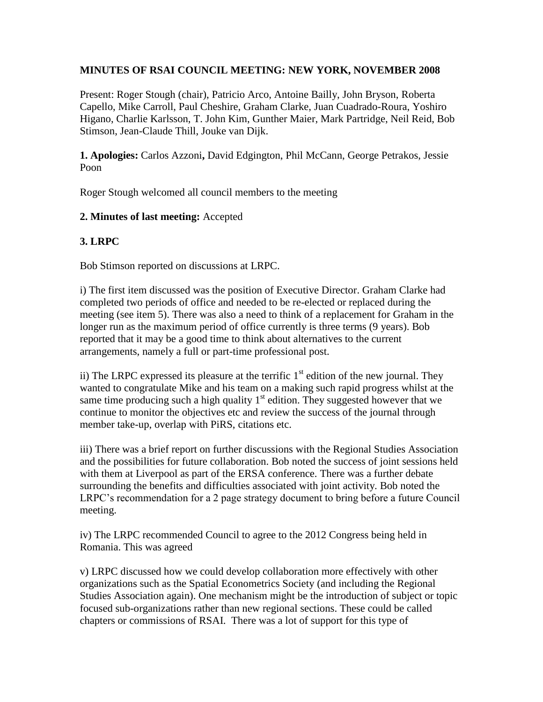## **MINUTES OF RSAI COUNCIL MEETING: NEW YORK, NOVEMBER 2008**

Present: Roger Stough (chair), Patricio Arco, Antoine Bailly, John Bryson, Roberta Capello, Mike Carroll, Paul Cheshire, Graham Clarke, Juan Cuadrado-Roura, Yoshiro Higano, Charlie Karlsson, T. John Kim, Gunther Maier, Mark Partridge, Neil Reid, Bob Stimson, Jean-Claude Thill, Jouke van Dijk.

**1. Apologies:** Carlos Azzoni**,** David Edgington, Phil McCann, George Petrakos, Jessie Poon

Roger Stough welcomed all council members to the meeting

#### **2. Minutes of last meeting:** Accepted

## **3. LRPC**

Bob Stimson reported on discussions at LRPC.

i) The first item discussed was the position of Executive Director. Graham Clarke had completed two periods of office and needed to be re-elected or replaced during the meeting (see item 5). There was also a need to think of a replacement for Graham in the longer run as the maximum period of office currently is three terms (9 years). Bob reported that it may be a good time to think about alternatives to the current arrangements, namely a full or part-time professional post.

ii) The LRPC expressed its pleasure at the terrific  $1<sup>st</sup>$  edition of the new journal. They wanted to congratulate Mike and his team on a making such rapid progress whilst at the same time producing such a high quality  $1<sup>st</sup>$  edition. They suggested however that we continue to monitor the objectives etc and review the success of the journal through member take-up, overlap with PiRS, citations etc.

iii) There was a brief report on further discussions with the Regional Studies Association and the possibilities for future collaboration. Bob noted the success of joint sessions held with them at Liverpool as part of the ERSA conference. There was a further debate surrounding the benefits and difficulties associated with joint activity. Bob noted the LRPC's recommendation for a 2 page strategy document to bring before a future Council meeting.

iv) The LRPC recommended Council to agree to the 2012 Congress being held in Romania. This was agreed

v) LRPC discussed how we could develop collaboration more effectively with other organizations such as the Spatial Econometrics Society (and including the Regional Studies Association again). One mechanism might be the introduction of subject or topic focused sub-organizations rather than new regional sections. These could be called chapters or commissions of RSAI. There was a lot of support for this type of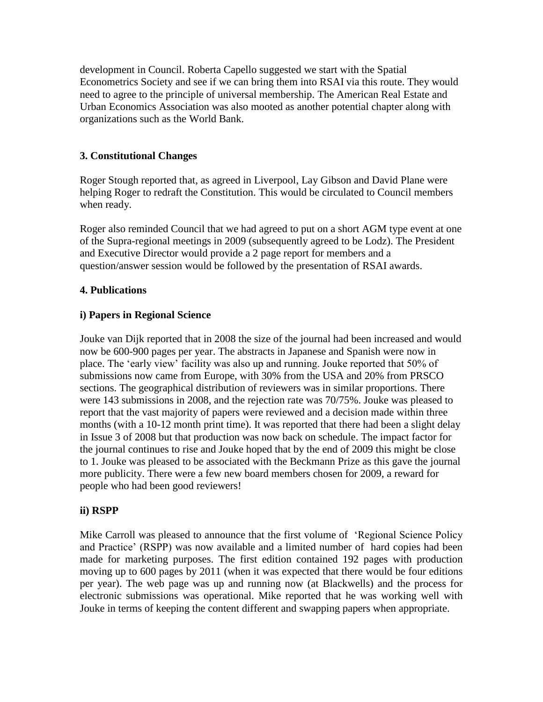development in Council. Roberta Capello suggested we start with the Spatial Econometrics Society and see if we can bring them into RSAI via this route. They would need to agree to the principle of universal membership. The American Real Estate and Urban Economics Association was also mooted as another potential chapter along with organizations such as the World Bank.

# **3. Constitutional Changes**

Roger Stough reported that, as agreed in Liverpool, Lay Gibson and David Plane were helping Roger to redraft the Constitution. This would be circulated to Council members when ready.

Roger also reminded Council that we had agreed to put on a short AGM type event at one of the Supra-regional meetings in 2009 (subsequently agreed to be Lodz). The President and Executive Director would provide a 2 page report for members and a question/answer session would be followed by the presentation of RSAI awards.

## **4. Publications**

# **i) Papers in Regional Science**

Jouke van Dijk reported that in 2008 the size of the journal had been increased and would now be 600-900 pages per year. The abstracts in Japanese and Spanish were now in place. The 'early view' facility was also up and running. Jouke reported that 50% of submissions now came from Europe, with 30% from the USA and 20% from PRSCO sections. The geographical distribution of reviewers was in similar proportions. There were 143 submissions in 2008, and the rejection rate was 70/75%. Jouke was pleased to report that the vast majority of papers were reviewed and a decision made within three months (with a 10-12 month print time). It was reported that there had been a slight delay in Issue 3 of 2008 but that production was now back on schedule. The impact factor for the journal continues to rise and Jouke hoped that by the end of 2009 this might be close to 1. Jouke was pleased to be associated with the Beckmann Prize as this gave the journal more publicity. There were a few new board members chosen for 2009, a reward for people who had been good reviewers!

## **ii) RSPP**

Mike Carroll was pleased to announce that the first volume of 'Regional Science Policy and Practice' (RSPP) was now available and a limited number of hard copies had been made for marketing purposes. The first edition contained 192 pages with production moving up to 600 pages by 2011 (when it was expected that there would be four editions per year). The web page was up and running now (at Blackwells) and the process for electronic submissions was operational. Mike reported that he was working well with Jouke in terms of keeping the content different and swapping papers when appropriate.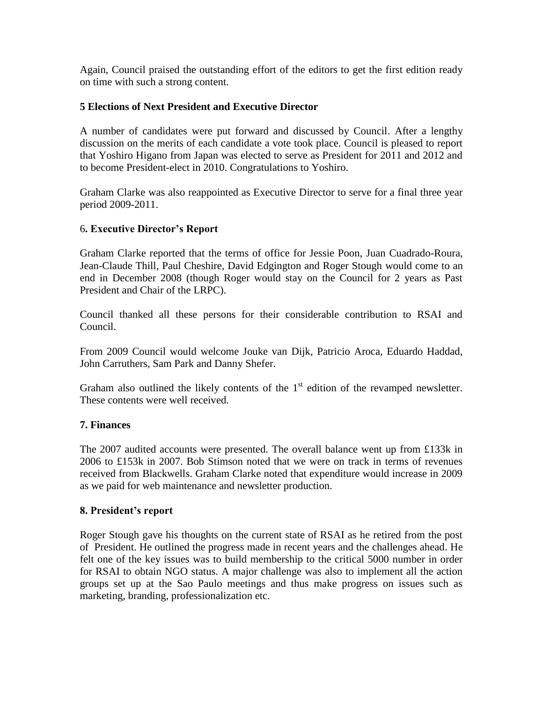Again, Council praised the outstanding effort of the editors to get the first edition ready on time with such a strong content.

#### **5 Elections of Next President and Executive Director**

A number of candidates were put forward and discussed by Council. After a lengthy discussion on the merits of each candidate a vote took place. Council is pleased to report that Yoshiro Higano from Japan was elected to serve as President for 2011 and 2012 and to become President-elect in 2010. Congratulations to Yoshiro.

Graham Clarke was also reappointed as Executive Director to serve for a final three year period 2009-2011.

#### 6**. Executive Director's Report**

Graham Clarke reported that the terms of office for Jessie Poon, Juan Cuadrado-Roura, Jean-Claude Thill, Paul Cheshire, David Edgington and Roger Stough would come to an end in December 2008 (though Roger would stay on the Council for 2 years as Past President and Chair of the LRPC).

Council thanked all these persons for their considerable contribution to RSAI and Council.

From 2009 Council would welcome Jouke van Dijk, Patricio Aroca, Eduardo Haddad, John Carruthers, Sam Park and Danny Shefer.

Graham also outlined the likely contents of the  $1<sup>st</sup>$  edition of the revamped newsletter. These contents were well received.

#### **7. Finances**

The 2007 audited accounts were presented. The overall balance went up from £133k in 2006 to £153k in 2007. Bob Stimson noted that we were on track in terms of revenues received from Blackwells. Graham Clarke noted that expenditure would increase in 2009 as we paid for web maintenance and newsletter production.

#### **8. President's report**

Roger Stough gave his thoughts on the current state of RSAI as he retired from the post of President. He outlined the progress made in recent years and the challenges ahead. He felt one of the key issues was to build membership to the critical 5000 number in order for RSAI to obtain NGO status. A major challenge was also to implement all the action groups set up at the Sao Paulo meetings and thus make progress on issues such as marketing, branding, professionalization etc.